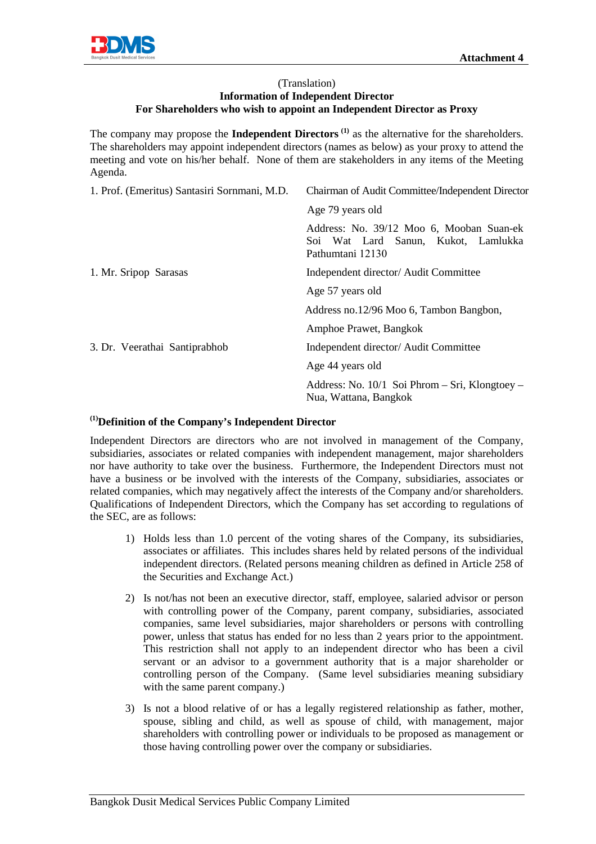

## (Translation) **Information of Independent Director For Shareholders who wish to appoint an Independent Director as Proxy**

The company may propose the **Independent Directors**<sup>(1)</sup> as the alternative for the shareholders. The shareholders may appoint independent directors (names as below) as your proxy to attend the meeting and vote on his/her behalf. None of them are stakeholders in any items of the Meeting Agenda.

| 1. Prof. (Emeritus) Santasiri Sornmani, M.D. | Chairman of Audit Committee/Independent Director                                                    |
|----------------------------------------------|-----------------------------------------------------------------------------------------------------|
|                                              | Age 79 years old                                                                                    |
|                                              | Address: No. 39/12 Moo 6, Mooban Suan-ek<br>Soi Wat Lard Sanun, Kukot, Lamlukka<br>Pathumtani 12130 |
| 1. Mr. Sripop Sarasas                        | Independent director/ Audit Committee                                                               |
|                                              | Age 57 years old                                                                                    |
|                                              | Address no.12/96 Moo 6, Tambon Bangbon,                                                             |
|                                              | Amphoe Prawet, Bangkok                                                                              |
| 3. Dr. Veerathai Santiprabhob                | Independent director/ Audit Committee                                                               |
|                                              | Age 44 years old                                                                                    |
|                                              | Address: No. $10/1$ Soi Phrom – Sri, Klongtoey –<br>Nua, Wattana, Bangkok                           |

## **(1)Definition of the Company's Independent Director**

Independent Directors are directors who are not involved in management of the Company, subsidiaries, associates or related companies with independent management, major shareholders nor have authority to take over the business. Furthermore, the Independent Directors must not have a business or be involved with the interests of the Company, subsidiaries, associates or related companies, which may negatively affect the interests of the Company and/or shareholders. Qualifications of Independent Directors, which the Company has set according to regulations of the SEC, are as follows:

- 1) Holds less than 1.0 percent of the voting shares of the Company, its subsidiaries, associates or affiliates. This includes shares held by related persons of the individual independent directors. (Related persons meaning children as defined in Article 258 of the Securities and Exchange Act.)
- 2) Is not/has not been an executive director, staff, employee, salaried advisor or person with controlling power of the Company, parent company, subsidiaries, associated companies, same level subsidiaries, major shareholders or persons with controlling power, unless that status has ended for no less than 2 years prior to the appointment. This restriction shall not apply to an independent director who has been a civil servant or an advisor to a government authority that is a major shareholder or controlling person of the Company. (Same level subsidiaries meaning subsidiary with the same parent company.)
- 3) Is not a blood relative of or has a legally registered relationship as father, mother, spouse, sibling and child, as well as spouse of child, with management, major shareholders with controlling power or individuals to be proposed as management or those having controlling power over the company or subsidiaries.